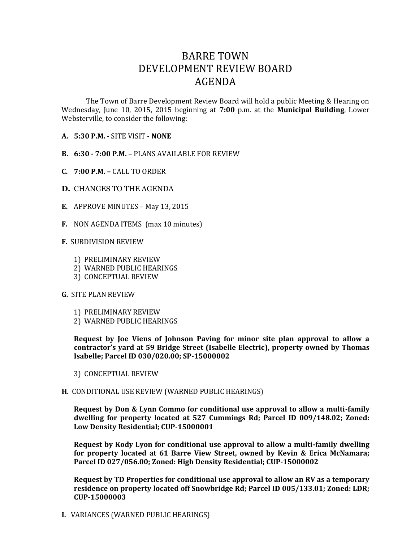## BARRE TOWN DEVELOPMENT REVIEW BOARD AGENDA

The Town of Barre Development Review Board will hold a public Meeting & Hearing on Wednesday, June 10, 2015, 2015 beginning at **7:00** p.m. at the **Municipal Building**, Lower Websterville, to consider the following:

- **A. 5:30 P.M.** SITE VISIT **NONE**
- **B. 6:30 - 7:00 P.M.** PLANS AVAILABLE FOR REVIEW
- **C. 7:00 P.M. –** CALL TO ORDER
- **D.** CHANGES TO THE AGENDA
- **E.** APPROVE MINUTES May 13, 2015
- **F.** NON AGENDA ITEMS (max 10 minutes)

## **F.** SUBDIVISION REVIEW

- 1) PRELIMINARY REVIEW
- 2) WARNED PUBLIC HEARINGS
- 3) CONCEPTUAL REVIEW

## **G.** SITE PLAN REVIEW

- 1) PRELIMINARY REVIEW
- 2) WARNED PUBLIC HEARINGS

**Request by Joe Viens of Johnson Paving for minor site plan approval to allow a contractor's yard at 59 Bridge Street (Isabelle Electric), property owned by Thomas Isabelle; Parcel ID 030/020.00; SP-15000002**

- 3) CONCEPTUAL REVIEW
- **H.** CONDITIONAL USE REVIEW (WARNED PUBLIC HEARINGS)

**Request by Don & Lynn Commo for conditional use approval to allow a multi-family dwelling for property located at 527 Cummings Rd; Parcel ID 009/148.02; Zoned: Low Density Residential; CUP-15000001**

**Request by Kody Lyon for conditional use approval to allow a multi-family dwelling for property located at 61 Barre View Street, owned by Kevin & Erica McNamara; Parcel ID 027/056.00; Zoned: High Density Residential; CUP-15000002**

**Request by TD Properties for conditional use approval to allow an RV as a temporary residence on property located off Snowbridge Rd; Parcel ID 005/133.01; Zoned: LDR; CUP-15000003**

**I.** VARIANCES (WARNED PUBLIC HEARINGS)